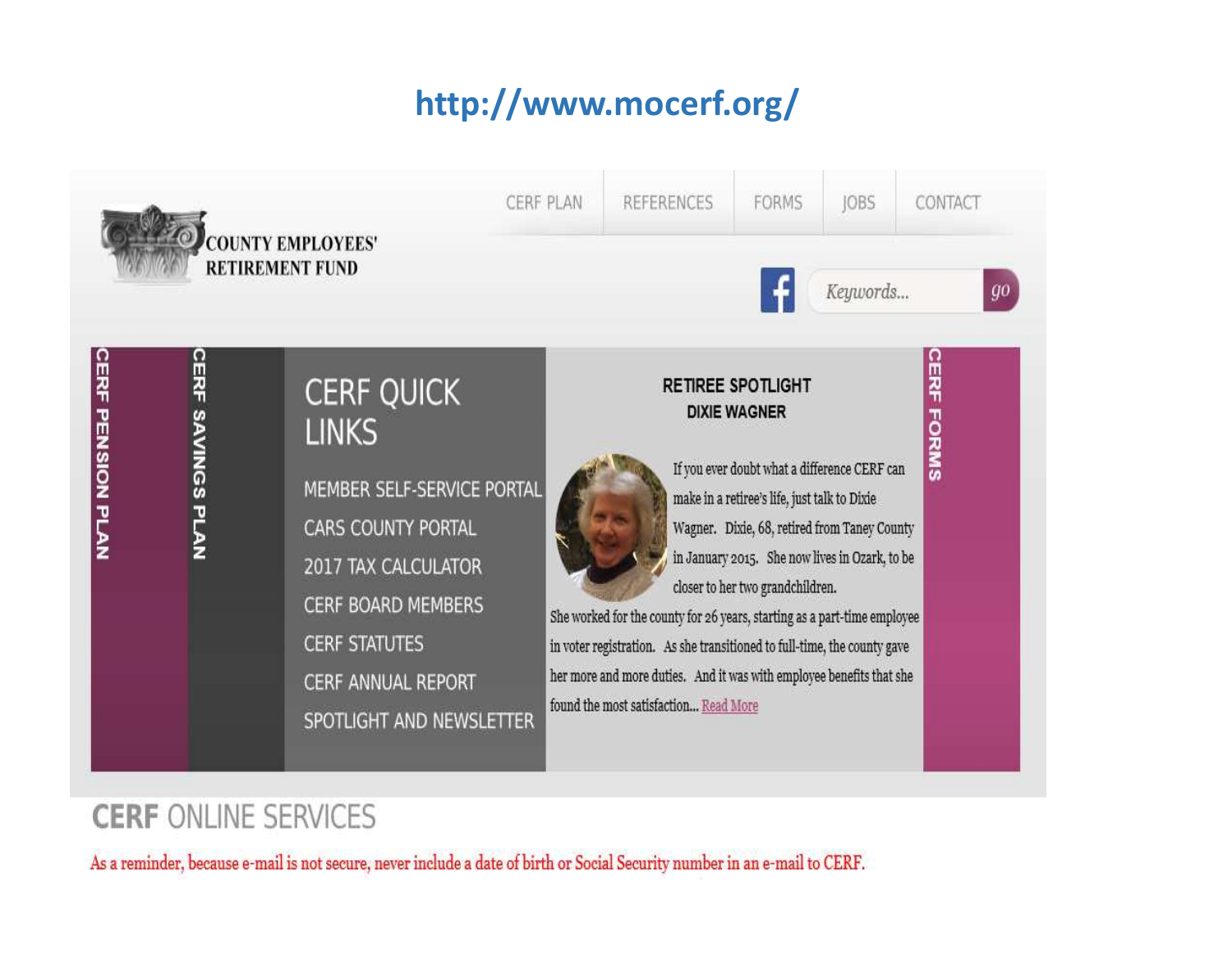# **http://www.mocerf.org/**



# **CERF ONLINE SERVICES**

As a reminder, because e-mail is not secure, never include a date of birth or Social Security number in an e-mail to CERF.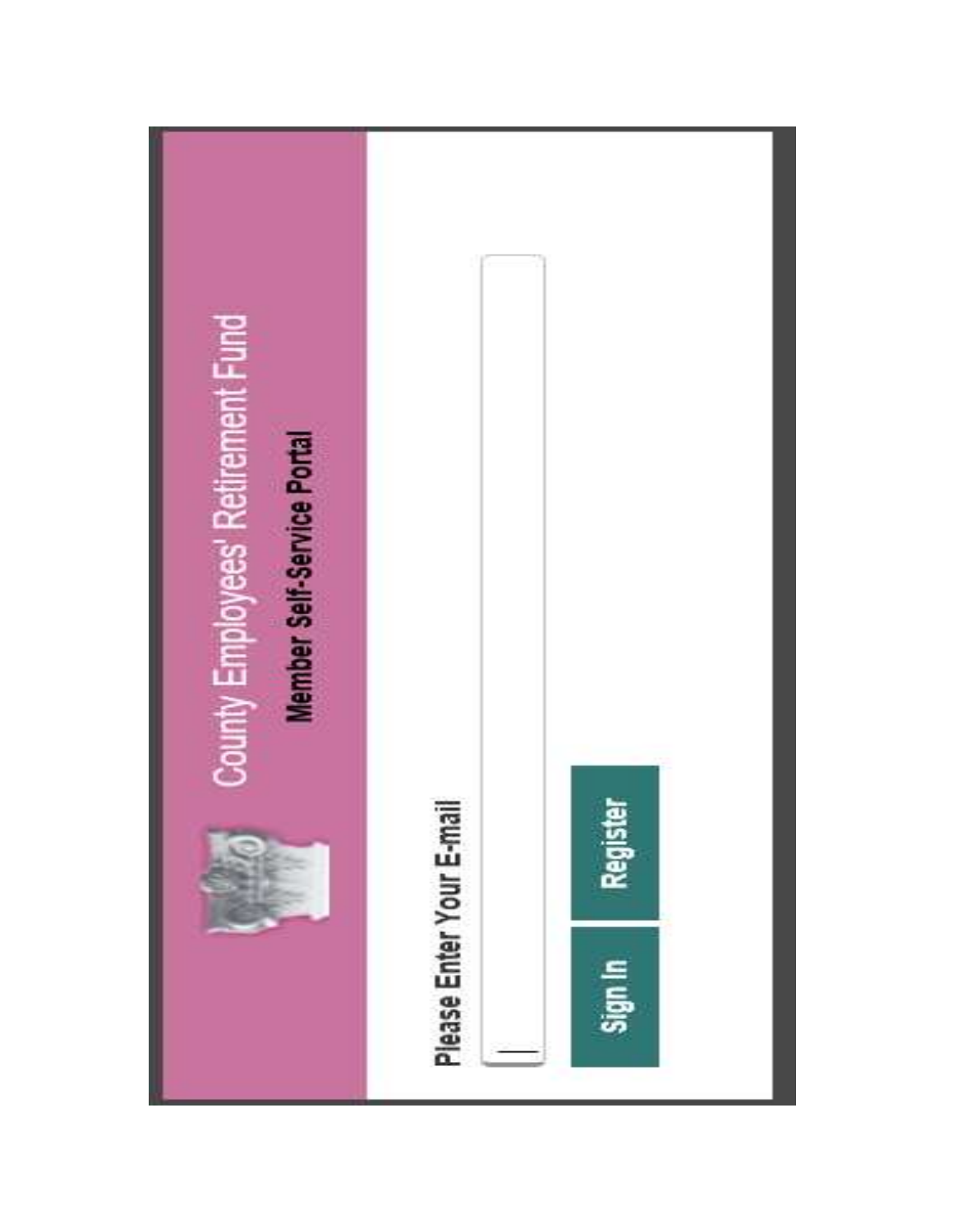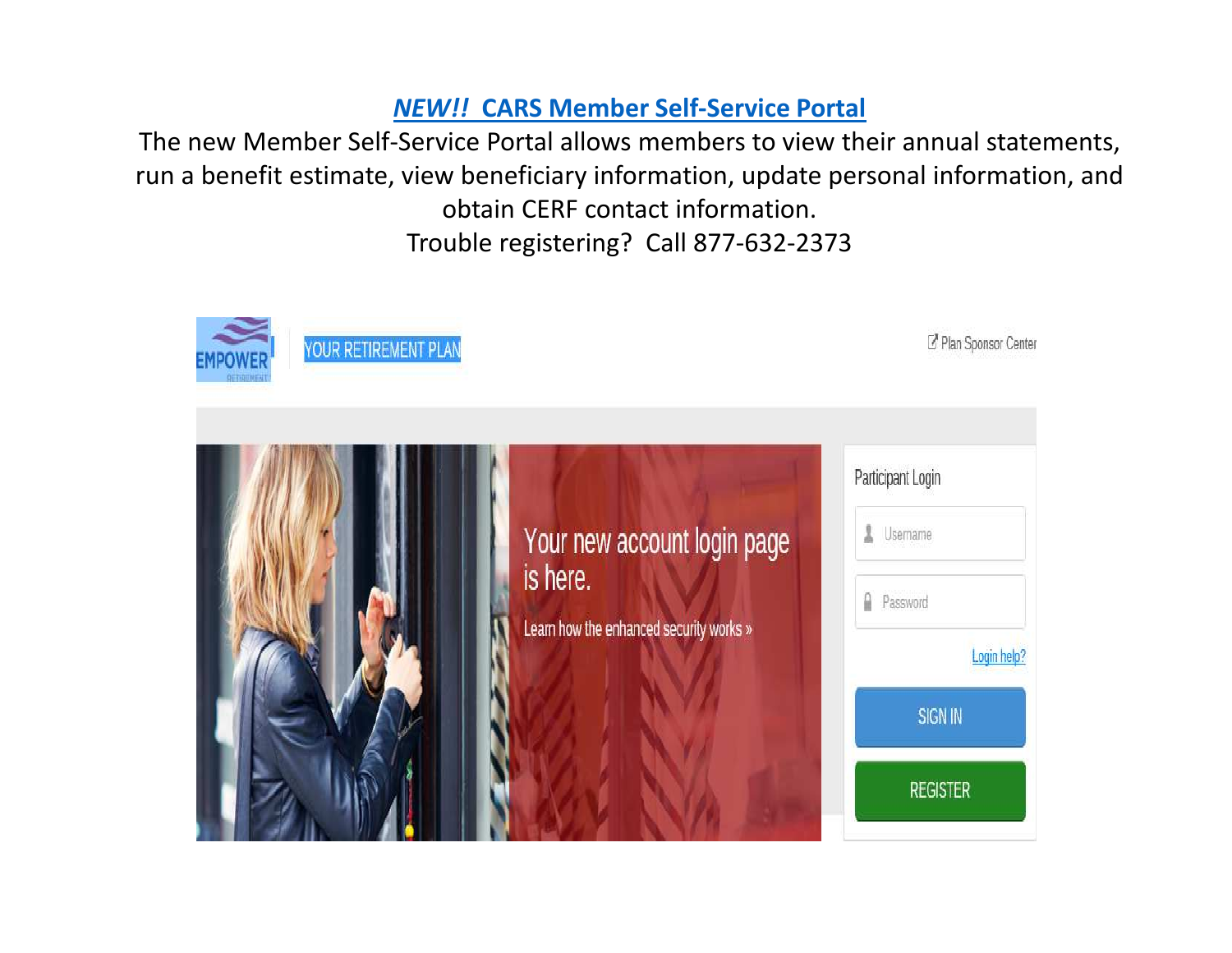# *NEW!!* **CARS Member Self-Service Portal**

The new Member Self-Service Portal allows members to view their annual statements, run a benefit estimate, view beneficiary information, update personal information, and obtain CERF contact information. Trouble registering? Call 877-632-2373

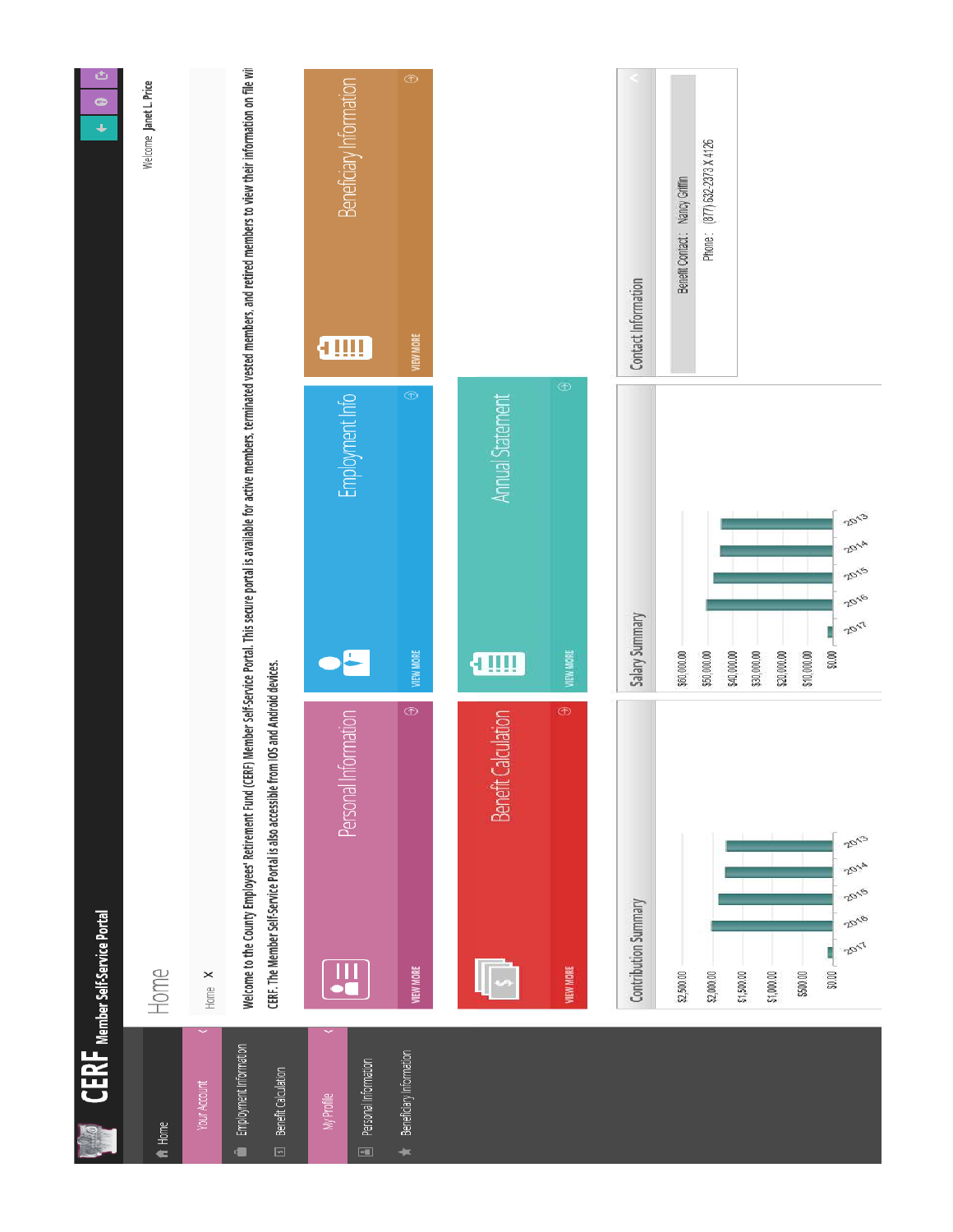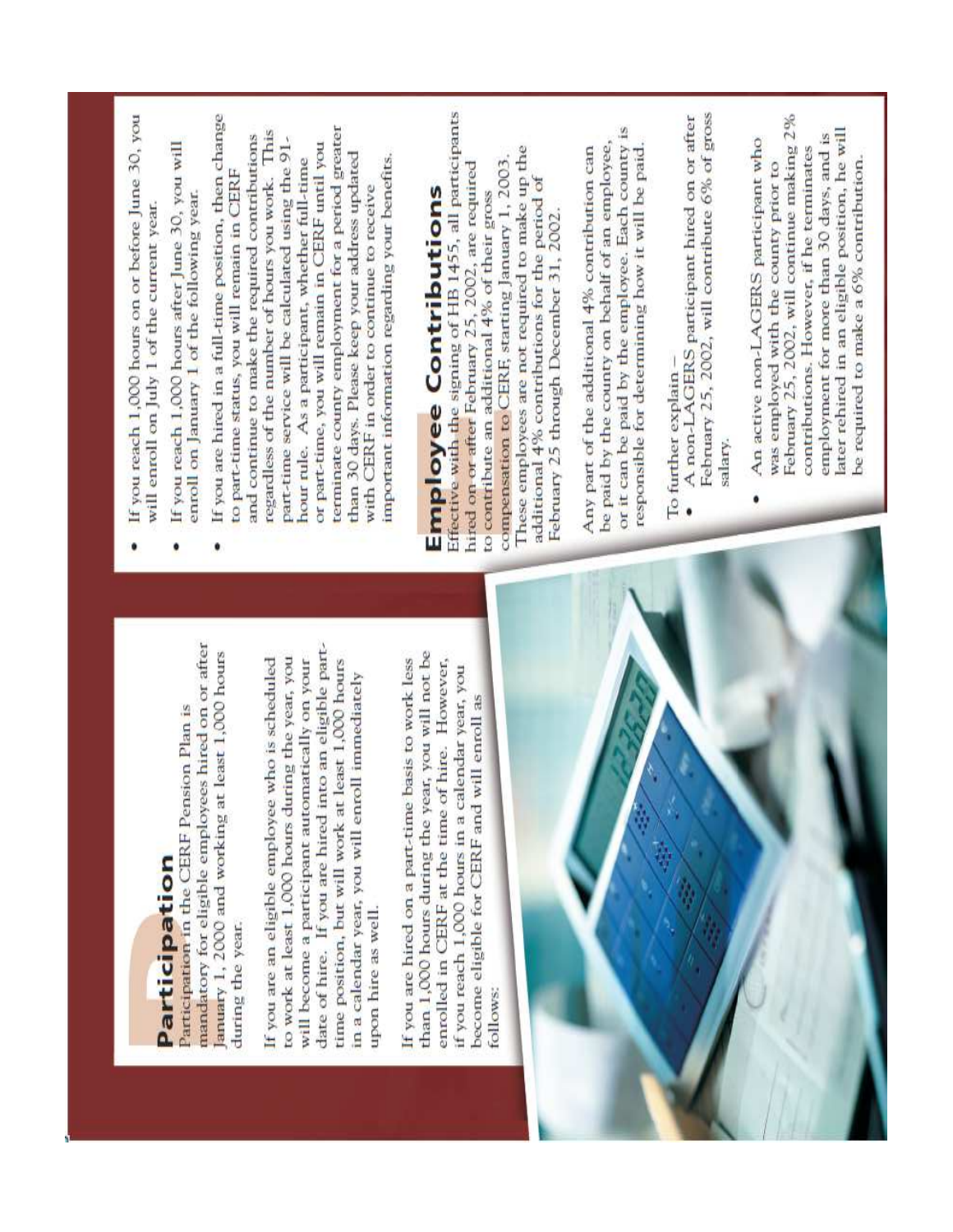# Participation

mandatory for eligible employees hired on or after anuary 1, 2000 and working at least 1,000 hours Participation in the CERF Pension Plan is during the year.

date of hire. If you are hired into an eligible partto work at least 1,000 hours during the year, you If you are an eligible employee who is scheduled will become a participant automatically on your time position, but will work at least 1,000 hours in a calendar year, you will enroll immediately upon hire as well.

than 1,000 hours during the year, you will not be enrolled in CERF at the time of hire. However, If you are hired on a part-time basis to work less if you reach 1,000 hours in a calendar year, you become eligible for CERF and will enroll as follows:



- If you reach 1,000 hours on or before June 30, you will enroll on July 1 of the current year.
- If you reach 1,000 hours after June 30, you will enroll on January 1 of the following year.
- If you are hired in a full-time position, then change terminate county employment for a period greater regardless of the number of hours you work. This and continue to make the required contributions part-time service will be calculated using the 91or part-time, you will remain in CERF until you than 30 days. Please keep your address updated important information regarding your benefits. hour rule. As a participant, whether full-time to part-time status, you will remain in CERF with CERF in order to continue to receive

# **Employee Contributions**

Effective with the signing of HB 1455, all participants These employees are not required to make up the compensation to CERF, starting January 1, 2003. hired on or after February 25, 2002, are required additional 4% contributions for the period of to contribute an additional 4% of their gross February 25 through December 31, 2002.

or it can be paid by the employee. Each county is be paid by the county on behalf of an employee, responsible for determining how it will be paid. Any part of the additional 4% contribution can

- To further explain -
- A non-LAGERS participant hired on or after February 25, 2002, will contribute 6% of gross salary.
- February 25, 2002, will continue making 2% later rehired in an eligible position, he will employment for more than 30 days, and is An active non-LAGERS participant who contributions. However, if he terminates be required to make a 6% contribution. was employed with the county prior to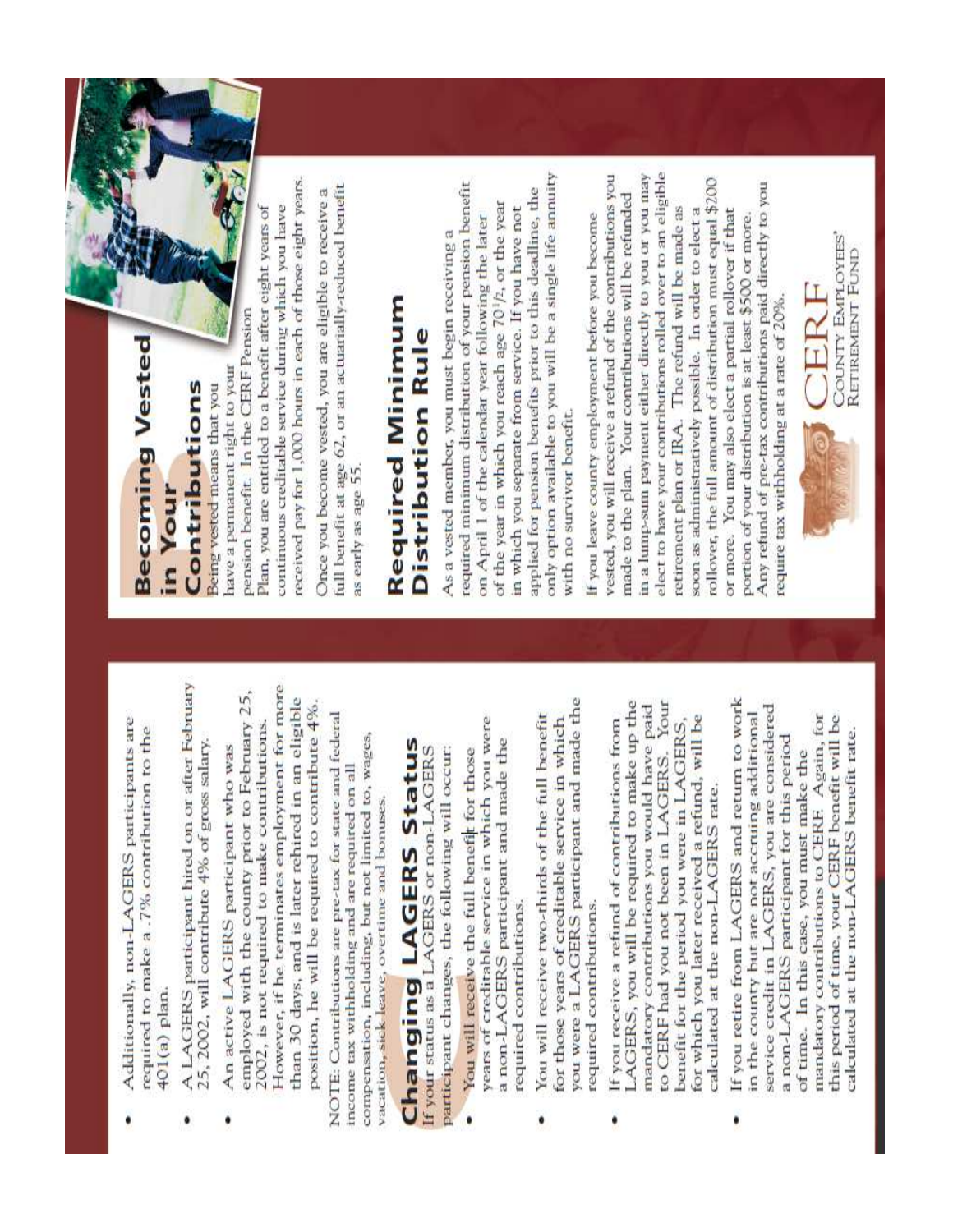- Additionally, non-LAGERS participants are required to make a .7% contribution to the 401(a) plan.
- A LAGERS participant hired on or after February 25, 2002, will contribute 4% of gross salary.  $\bullet$
- However, if he terminates employment for more employed with the county prior to February 25, than 30 days, and is later rehired in an eligible position, he will be required to contribute 4%. 2002, is not required to make contributions. An active LAGERS participant who was

NOTE: Contributions are pre-tax for state and federal compensation, including, but not limited to, wages, income tax withholding and are required on all vacation, sick leave, overtime and bonuses.

# **Changing LAGERS Status**

participant changes, the following will occur: If your status as a LAGERS or non-LAGERS

- years of creditable service in which you were a non-LAGERS participant and made the You will receive the full benefit for those required contributions.
- you were a LAGERS participant and made the You will receive two-thirds of the full benefit for those years of creditable service in which required contributions.
- LAGERS, you will be required to make up the to CERF had you not been in LAGERS. Your mandatory contributions you would have paid for which you later received a refund, will be benefit for the period you were in LAGERS, If you receive a refund of contributions from calculated at the non-LAGERS rate. ۰
- If you retire from LAGERS and return to work service credit in LAGERS, you are considered in the county but are not accruing additional mandatory contributions to CERF. Again, for this period of time, your CERF benefit will be calculated at the non-LAGERS benefit rate. a non-LAGERS participant for this period of time. In this case, you must make the  $\bullet$

# **Becoming Vested** Contributions in Your

have a permanent right to your Being vested means that you

received pay for 1,000 hours in each of those eight years. continuous creditable service during which you have Plan, you are entitled to a benefit after eight years of pension benefit. In the CERF Pension

full benefit at age 62, or an actuarially-reduced benefit Once you become vested, you are eligible to receive a as early as age 55.

# **Required Minimum** Distribution Rule

only option available to you will be a single life annuity required minimum distribution of your pension benefit applied for pension benefits prior to this deadline, the of the year in which you reach age 70<sup>1</sup>/2, or the year in which you separate from service. If you have not on April 1 of the calendar year following the later As a vested member, you must begin receiving a with no survivor benefit.

elect to have your contributions rolled over to an eligible vested, you will receive a refund of the contributions you in a lump-sum payment either directly to you or you may rollover, the full amount of distribution must equal \$200 Any refund of pre-tax contributions paid directly to you made to the plan. Your contributions will be refunded retirement plan or IRA. The refund will be made as soon as administratively possible. In order to elect a or more. You may also elect a partial rollover if that If you leave county employment before you become portion of your distribution is at least \$500 or more. require tax withholding at a rate of 20%.

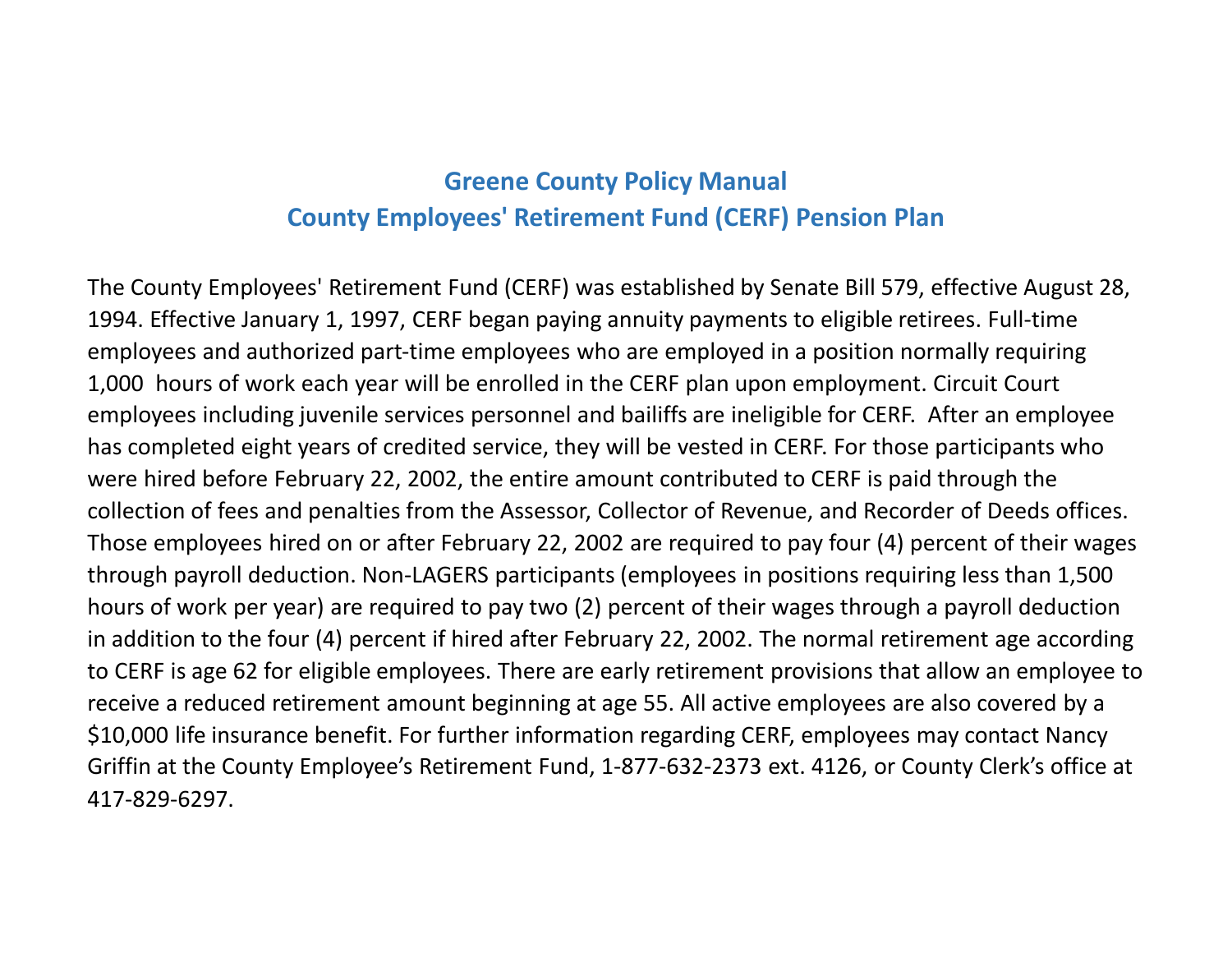## **Greene County Policy ManualCounty Employees' Retirement Fund (CERF) Pension Plan**

The County Employees' Retirement Fund (CERF) was established by Senate Bill 579, effective August 28, 1994. Effective January 1, 1997, CERF began paying annuity payments to eligible retirees. Full-time employees and authorized part-time employees who are employed in a position normally requiring 1,000 hours of work each year will be enrolled in the CERF plan upon employment. Circuit Court employees including juvenile services personnel and bailiffs are ineligible for CERF. After an employee has completed eight years of credited service, they will be vested in CERF. For those participants who were hired before February 22, 2002, the entire amount contributed to CERF is paid through the collection of fees and penalties from the Assessor, Collector of Revenue, and Recorder of Deeds offices. Those employees hired on or after February 22, 2002 are required to pay four (4) percent of their wages through payroll deduction. Non-LAGERS participants (employees in positions requiring less than 1,500 hours of work per year) are required to pay two (2) percent of their wages through a payroll deduction in addition to the four (4) percent if hired after February 22, 2002. The normal retirement age according to CERF is age 62 for eligible employees. There are early retirement provisions that allow an employee to receive a reduced retirement amount beginning at age 55. All active employees are also covered by a \$10,000 life insurance benefit. For further information regarding CERF, employees may contact Nancy Griffin at the County Employee's Retirement Fund, 1-877-632-2373 ext. 4126, or County Clerk's office at 417-829-6297.